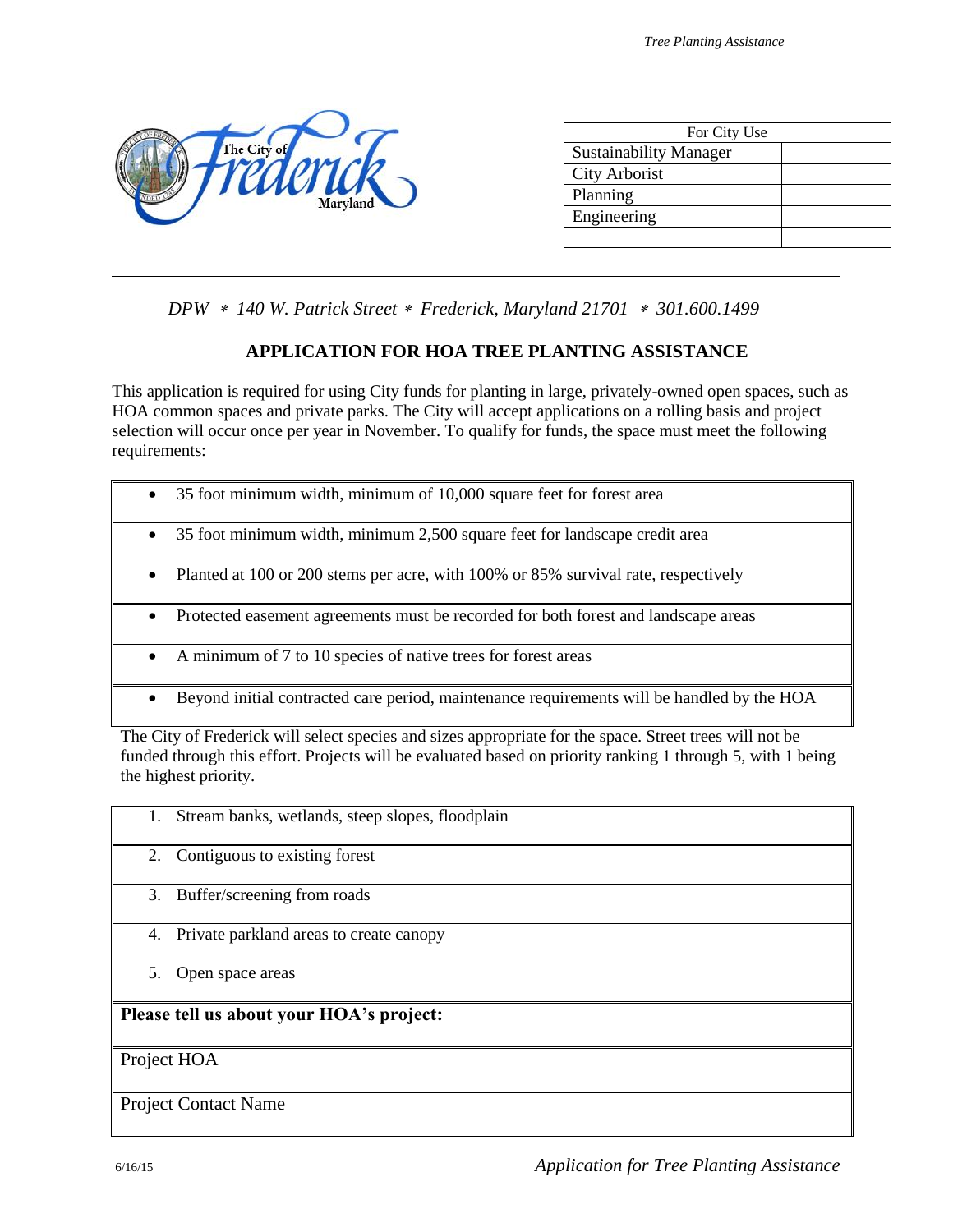

| For City Use                  |  |
|-------------------------------|--|
| <b>Sustainability Manager</b> |  |
| <b>City Arborist</b>          |  |
| Planning                      |  |
| Engineering                   |  |
|                               |  |

*DPW 140 W. Patrick Street Frederick, Maryland 21701 301.600.1499*

## **APPLICATION FOR HOA TREE PLANTING ASSISTANCE**

This application is required for using City funds for planting in large, privately-owned open spaces, such as HOA common spaces and private parks. The City will accept applications on a rolling basis and project selection will occur once per year in November. To qualify for funds, the space must meet the following requirements:

- 35 foot minimum width, minimum 2,500 square feet for landscape credit area
- Planted at 100 or 200 stems per acre, with 100% or 85% survival rate, respectively
- Protected easement agreements must be recorded for both forest and landscape areas
- A minimum of 7 to 10 species of native trees for forest areas
- Beyond initial contracted care period, maintenance requirements will be handled by the HOA

The City of Frederick will select species and sizes appropriate for the space. Street trees will not be funded through this effort. Projects will be evaluated based on priority ranking 1 through 5, with 1 being the highest priority.

| Stream banks, wetlands, steep slopes, floodplain<br>1. |
|--------------------------------------------------------|
| Contiguous to existing forest<br>2.                    |
| 3.<br>Buffer/screening from roads                      |
| Private parkland areas to create canopy<br>4.          |
| 5.<br>Open space areas                                 |
| Please tell us about your HOA's project:               |
| Project HOA                                            |
| <b>Project Contact Name</b>                            |